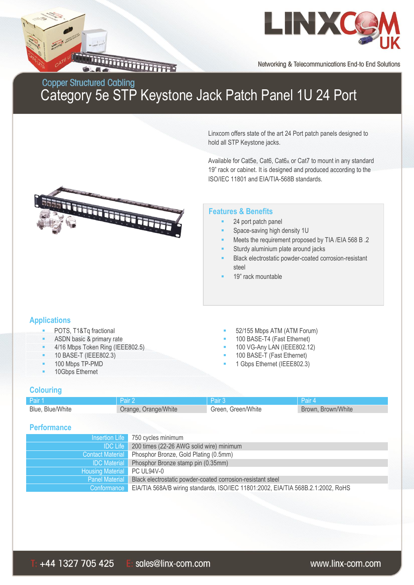



Networking & Telecommunications End-to End Solutions

Linxcom offers state of the art 24 Port patch panels designed to

## Copper Structured Cabling<br>Category 5e STP Keystone Jack Patch Panel 1U 24 Port

|                                                                                                                                                                                                              |                                                                                      | hold all STP Keystone jacks.                                                                                                                                          |                                                                                                                                        |  |  |  |
|--------------------------------------------------------------------------------------------------------------------------------------------------------------------------------------------------------------|--------------------------------------------------------------------------------------|-----------------------------------------------------------------------------------------------------------------------------------------------------------------------|----------------------------------------------------------------------------------------------------------------------------------------|--|--|--|
|                                                                                                                                                                                                              |                                                                                      | ISO/IEC 11801 and EIA/TIA-568B standards.                                                                                                                             | Available for Cat5e, Cat6, Cat6A or Cat7 to mount in any standard<br>19" rack or cabinet. It is designed and produced according to the |  |  |  |
|                                                                                                                                                                                                              |                                                                                      | <b>Features &amp; Benefits</b><br>24 port patch panel<br>Space-saving high density 1U<br>Sturdy aluminium plate around jacks<br>٠<br>steel<br>19" rack mountable      | Meets the requirement proposed by TIA /EIA 568 B .2<br>Black electrostatic powder-coated corrosion-resistant                           |  |  |  |
| <b>Applications</b><br>POTS, T1&Tq fractional<br>ú,<br>ASDN basic & primary rate<br>۰<br>4/16 Mbps Token Ring (IEEE802.5)<br>۰<br>10 BASE-T (IEEE802.3)<br>۰<br>100 Mbps TP-PMD<br>۰<br>10Gbps Ethernet<br>۰ |                                                                                      | 52/155 Mbps ATM (ATM Forum)<br>100 BASE-T4 (Fast Ethernet)<br>ш<br>100 VG-Any LAN (IEEE802.12)<br>п<br>100 BASE-T (Fast Ethernet)<br>п<br>1 Gbps Ethernet (IEEE802.3) |                                                                                                                                        |  |  |  |
| <b>Colouring</b>                                                                                                                                                                                             |                                                                                      |                                                                                                                                                                       |                                                                                                                                        |  |  |  |
| Pair 1                                                                                                                                                                                                       | Pair 2                                                                               | Pair 3                                                                                                                                                                | Pair 4                                                                                                                                 |  |  |  |
| Blue, Blue/White                                                                                                                                                                                             | Orange, Orange/White                                                                 | Green, Green/White                                                                                                                                                    | Brown, Brown/White                                                                                                                     |  |  |  |
| <b>Performance</b>                                                                                                                                                                                           |                                                                                      |                                                                                                                                                                       |                                                                                                                                        |  |  |  |
| <b>Insertion Life</b>                                                                                                                                                                                        |                                                                                      | 750 cycles minimum                                                                                                                                                    |                                                                                                                                        |  |  |  |
| <b>IDC Life</b>                                                                                                                                                                                              |                                                                                      | 200 times (22-26 AWG solid wire) minimum<br>Phosphor Bronze, Gold Plating (0.5mm)                                                                                     |                                                                                                                                        |  |  |  |
|                                                                                                                                                                                                              | <b>Contact Material</b><br><b>IDC</b> Material<br>Phosphor Bronze stamp pin (0.35mm) |                                                                                                                                                                       |                                                                                                                                        |  |  |  |
| PC UL94V-0<br><b>Housing Material</b>                                                                                                                                                                        |                                                                                      |                                                                                                                                                                       |                                                                                                                                        |  |  |  |
| <b>Panel Material</b>                                                                                                                                                                                        |                                                                                      | Black electrostatic powder-coated corrosion-resistant steel                                                                                                           |                                                                                                                                        |  |  |  |
| Conformance                                                                                                                                                                                                  |                                                                                      | EIA/TIA 568A/B wiring standards, ISO/IEC 11801:2002, EIA/TIA 568B.2.1:2002, RoHS                                                                                      |                                                                                                                                        |  |  |  |
|                                                                                                                                                                                                              |                                                                                      |                                                                                                                                                                       |                                                                                                                                        |  |  |  |
|                                                                                                                                                                                                              |                                                                                      |                                                                                                                                                                       |                                                                                                                                        |  |  |  |